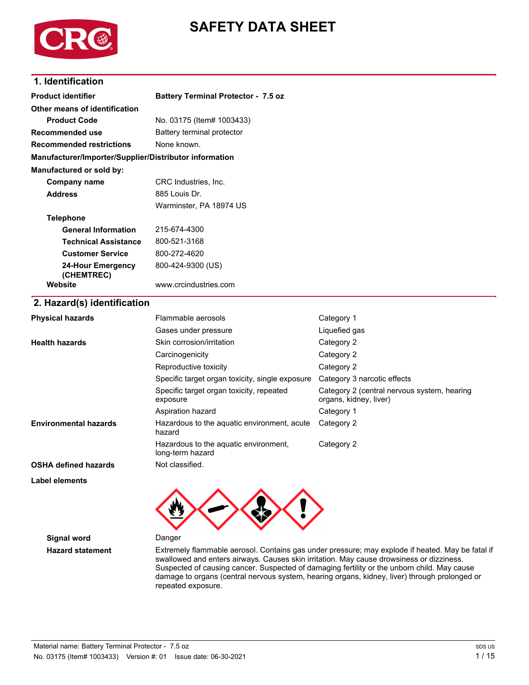

# **SAFETY DATA SHEET**

### **1. Identification**

| <b>Product identifier</b>                              | <b>Battery Terminal Protector - 7.5 oz</b>                                       |                                                                                                  |
|--------------------------------------------------------|----------------------------------------------------------------------------------|--------------------------------------------------------------------------------------------------|
| Other means of identification                          |                                                                                  |                                                                                                  |
| <b>Product Code</b>                                    | No. 03175 (Item# 1003433)                                                        |                                                                                                  |
| <b>Recommended use</b>                                 | Battery terminal protector                                                       |                                                                                                  |
| <b>Recommended restrictions</b>                        | None known.                                                                      |                                                                                                  |
| Manufacturer/Importer/Supplier/Distributor information |                                                                                  |                                                                                                  |
| Manufactured or sold by:                               |                                                                                  |                                                                                                  |
| <b>Company name</b>                                    | CRC Industries, Inc.                                                             |                                                                                                  |
| <b>Address</b>                                         | 885 Louis Dr.                                                                    |                                                                                                  |
|                                                        | Warminster, PA 18974 US                                                          |                                                                                                  |
| <b>Telephone</b>                                       |                                                                                  |                                                                                                  |
| <b>General Information</b>                             | 215-674-4300                                                                     |                                                                                                  |
| <b>Technical Assistance</b>                            | 800-521-3168                                                                     |                                                                                                  |
| <b>Customer Service</b>                                | 800-272-4620                                                                     |                                                                                                  |
| <b>24-Hour Emergency</b><br>(CHEMTREC)                 | 800-424-9300 (US)                                                                |                                                                                                  |
| Website                                                | www.crcindustries.com                                                            |                                                                                                  |
| 2. Hazard(s) identification                            |                                                                                  |                                                                                                  |
| <b>Physical hazards</b>                                | Flammable aerosols                                                               | Category 1                                                                                       |
|                                                        | Gases under pressure                                                             | Liquefied gas                                                                                    |
| <b>Health hazards</b>                                  | Skin corrosion/irritation                                                        | Category 2                                                                                       |
|                                                        | Carcinogenicity                                                                  | Category 2                                                                                       |
|                                                        | Reproductive toxicity                                                            | Category 2                                                                                       |
|                                                        | Specific target organ toxicity, single exposure                                  | Category 3 narcotic effects                                                                      |
|                                                        | Specific target organ toxicity, repeated<br>exposure                             | Category 2 (central nervous system, hearing<br>organs, kidney, liver)                            |
|                                                        | Aspiration hazard                                                                | Category 1                                                                                       |
| <b>Environmental hazards</b>                           | Hazardous to the aquatic environment, acute<br>hazard                            | Category 2                                                                                       |
|                                                        | Hazardous to the aquatic environment,<br>long-term hazard                        | Category 2                                                                                       |
| <b>OSHA defined hazards</b>                            | Not classified.                                                                  |                                                                                                  |
| <b>Label elements</b>                                  |                                                                                  |                                                                                                  |
|                                                        |                                                                                  |                                                                                                  |
| <b>Signal word</b>                                     | Danger                                                                           |                                                                                                  |
| <b>Hazard statement</b>                                | lowed and opters airways. Couses akin irritation. May squee drowniness or dizzir | Extremely flammable aerosol. Contains gas under pressure; may explode if heated. May be fatal if |

swallowed and enters airways. Causes skin irritation. May cause drowsiness or dizziness. Suspected of causing cancer. Suspected of damaging fertility or the unborn child. May cause damage to organs (central nervous system, hearing organs, kidney, liver) through prolonged or repeated exposure.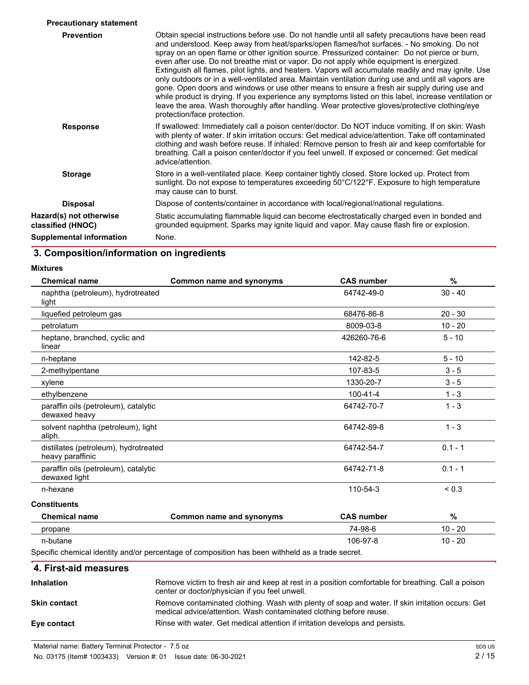| <b>Precautionary statement</b>               |                                                                                                                                                                                                                                                                                                                                                                                                                                                                                                                                                                                                                                                                                                                                                                                                                                                                                                                                                       |
|----------------------------------------------|-------------------------------------------------------------------------------------------------------------------------------------------------------------------------------------------------------------------------------------------------------------------------------------------------------------------------------------------------------------------------------------------------------------------------------------------------------------------------------------------------------------------------------------------------------------------------------------------------------------------------------------------------------------------------------------------------------------------------------------------------------------------------------------------------------------------------------------------------------------------------------------------------------------------------------------------------------|
| <b>Prevention</b>                            | Obtain special instructions before use. Do not handle until all safety precautions have been read<br>and understood. Keep away from heat/sparks/open flames/hot surfaces. - No smoking. Do not<br>spray on an open flame or other ignition source. Pressurized container: Do not pierce or burn,<br>even after use. Do not breathe mist or vapor. Do not apply while equipment is energized.<br>Extinguish all flames, pilot lights, and heaters. Vapors will accumulate readily and may ignite. Use<br>only outdoors or in a well-ventilated area. Maintain ventilation during use and until all vapors are<br>gone. Open doors and windows or use other means to ensure a fresh air supply during use and<br>while product is drying. If you experience any symptoms listed on this label, increase ventilation or<br>leave the area. Wash thoroughly after handling. Wear protective gloves/protective clothing/eye<br>protection/face protection. |
| <b>Response</b>                              | If swallowed: Immediately call a poison center/doctor. Do NOT induce vomiting. If on skin: Wash<br>with plenty of water. If skin irritation occurs: Get medical advice/attention. Take off contaminated<br>clothing and wash before reuse. If inhaled: Remove person to fresh air and keep comfortable for<br>breathing. Call a poison center/doctor if you feel unwell. If exposed or concerned: Get medical<br>advice/attention.                                                                                                                                                                                                                                                                                                                                                                                                                                                                                                                    |
| <b>Storage</b>                               | Store in a well-ventilated place. Keep container tightly closed. Store locked up. Protect from<br>sunlight. Do not expose to temperatures exceeding 50°C/122°F. Exposure to high temperature<br>may cause can to burst.                                                                                                                                                                                                                                                                                                                                                                                                                                                                                                                                                                                                                                                                                                                               |
| <b>Disposal</b>                              | Dispose of contents/container in accordance with local/regional/national regulations.                                                                                                                                                                                                                                                                                                                                                                                                                                                                                                                                                                                                                                                                                                                                                                                                                                                                 |
| Hazard(s) not otherwise<br>classified (HNOC) | Static accumulating flammable liquid can become electrostatically charged even in bonded and<br>grounded equipment. Sparks may ignite liquid and vapor. May cause flash fire or explosion.                                                                                                                                                                                                                                                                                                                                                                                                                                                                                                                                                                                                                                                                                                                                                            |
| <b>Supplemental information</b>              | None.                                                                                                                                                                                                                                                                                                                                                                                                                                                                                                                                                                                                                                                                                                                                                                                                                                                                                                                                                 |

# **3. Composition/information on ingredients**

| <b>Chemical name</b>                                      | Common name and synonyms                                                                        | <b>CAS number</b> | %          |
|-----------------------------------------------------------|-------------------------------------------------------------------------------------------------|-------------------|------------|
| naphtha (petroleum), hydrotreated<br>light                |                                                                                                 | 64742-49-0        | $30 - 40$  |
| liquefied petroleum gas                                   |                                                                                                 | 68476-86-8        | $20 - 30$  |
| petrolatum                                                |                                                                                                 | 8009-03-8         | $10 - 20$  |
| heptane, branched, cyclic and<br>linear                   |                                                                                                 | 426260-76-6       | $5 - 10$   |
| n-heptane                                                 |                                                                                                 | 142-82-5          | $5 - 10$   |
| 2-methylpentane                                           |                                                                                                 | 107-83-5          | $3 - 5$    |
| xylene                                                    |                                                                                                 | 1330-20-7         | $3 - 5$    |
| ethylbenzene                                              |                                                                                                 | 100-41-4          | $1 - 3$    |
| paraffin oils (petroleum), catalytic<br>dewaxed heavy     |                                                                                                 | 64742-70-7        | $1 - 3$    |
| solvent naphtha (petroleum), light<br>aliph.              |                                                                                                 | 64742-89-8        | $1 - 3$    |
| distillates (petroleum), hydrotreated<br>heavy paraffinic |                                                                                                 | 64742-54-7        | $0.1 - 1$  |
| paraffin oils (petroleum), catalytic<br>dewaxed light     |                                                                                                 | 64742-71-8        | $0.1 - 1$  |
| n-hexane                                                  |                                                                                                 | 110-54-3          | ${}_{0.3}$ |
| <b>Constituents</b>                                       |                                                                                                 |                   |            |
| <b>Chemical name</b>                                      | Common name and synonyms                                                                        | <b>CAS number</b> | %          |
| propane                                                   |                                                                                                 | 74-98-6           | $10 - 20$  |
| n-butane                                                  |                                                                                                 | 106-97-8          | $10 - 20$  |
|                                                           | Specific chamical identity and/or perceptage of composition has been withheld as a trade secret |                   |            |

Specific chemical identity and/or percentage of composition has been withheld as a trade secret.

### **4. First-aid measures**

| <b>Inhalation</b>   | Remove victim to fresh air and keep at rest in a position comfortable for breathing. Call a poison<br>center or doctor/physician if you feel unwell.                   |
|---------------------|------------------------------------------------------------------------------------------------------------------------------------------------------------------------|
| <b>Skin contact</b> | Remove contaminated clothing. Wash with plenty of soap and water. If skin irritation occurs: Get<br>medical advice/attention. Wash contaminated clothing before reuse. |
| Eye contact         | Rinse with water. Get medical attention if irritation develops and persists.                                                                                           |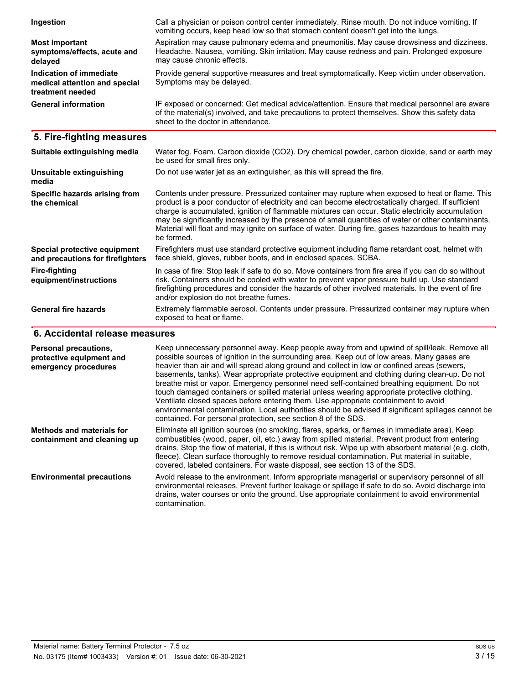| Ingestion                                                                    | Call a physician or poison control center immediately. Rinse mouth. Do not induce vomiting. If<br>vomiting occurs, keep head low so that stomach content doesn't get into the lungs.                                                   |
|------------------------------------------------------------------------------|----------------------------------------------------------------------------------------------------------------------------------------------------------------------------------------------------------------------------------------|
| Most important<br>symptoms/effects, acute and<br>delayed                     | Aspiration may cause pulmonary edema and pneumonitis. May cause drowsiness and dizziness.<br>Headache. Nausea, vomiting. Skin irritation. May cause redness and pain. Prolonged exposure<br>may cause chronic effects.                 |
| Indication of immediate<br>medical attention and special<br>treatment needed | Provide general supportive measures and treat symptomatically. Keep victim under observation.<br>Symptoms may be delayed.                                                                                                              |
| <b>General information</b>                                                   | IF exposed or concerned: Get medical advice/attention. Ensure that medical personnel are aware<br>of the material(s) involved, and take precautions to protect themselves. Show this safety data<br>sheet to the doctor in attendance. |

# **5. Fire-fighting measures**

| Suitable extinguishing media                                     | Water fog. Foam. Carbon dioxide (CO2). Dry chemical powder, carbon dioxide, sand or earth may<br>be used for small fires only.                                                                                                                                                                                                                                                                                                                                                                                                     |
|------------------------------------------------------------------|------------------------------------------------------------------------------------------------------------------------------------------------------------------------------------------------------------------------------------------------------------------------------------------------------------------------------------------------------------------------------------------------------------------------------------------------------------------------------------------------------------------------------------|
| Unsuitable extinguishing<br>media                                | Do not use water jet as an extinguisher, as this will spread the fire.                                                                                                                                                                                                                                                                                                                                                                                                                                                             |
| Specific hazards arising from<br>the chemical                    | Contents under pressure. Pressurized container may rupture when exposed to heat or flame. This<br>product is a poor conductor of electricity and can become electrostatically charged. If sufficient<br>charge is accumulated, ignition of flammable mixtures can occur. Static electricity accumulation<br>may be significantly increased by the presence of small quantities of water or other contaminants.<br>Material will float and may ignite on surface of water. During fire, gases hazardous to health may<br>be formed. |
| Special protective equipment<br>and precautions for firefighters | Firefighters must use standard protective equipment including flame retardant coat, helmet with<br>face shield, gloves, rubber boots, and in enclosed spaces, SCBA.                                                                                                                                                                                                                                                                                                                                                                |
| <b>Fire-fighting</b><br>equipment/instructions                   | In case of fire: Stop leak if safe to do so. Move containers from fire area if you can do so without<br>risk. Containers should be cooled with water to prevent vapor pressure build up. Use standard<br>firefighting procedures and consider the hazards of other involved materials. In the event of fire<br>and/or explosion do not breathe fumes.                                                                                                                                                                              |
| <b>General fire hazards</b>                                      | Extremely flammable aerosol. Contents under pressure. Pressurized container may rupture when<br>exposed to heat or flame.                                                                                                                                                                                                                                                                                                                                                                                                          |

# **6. Accidental release measures**

| <b>Personal precautions,</b><br>protective equipment and<br>emergency procedures | Keep unnecessary personnel away. Keep people away from and upwind of spill/leak. Remove all<br>possible sources of ignition in the surrounding area. Keep out of low areas. Many gases are<br>heavier than air and will spread along ground and collect in low or confined areas (sewers,<br>basements, tanks). Wear appropriate protective equipment and clothing during clean-up. Do not<br>breathe mist or vapor. Emergency personnel need self-contained breathing equipment. Do not<br>touch damaged containers or spilled material unless wearing appropriate protective clothing.<br>Ventilate closed spaces before entering them. Use appropriate containment to avoid<br>environmental contamination. Local authorities should be advised if significant spillages cannot be<br>contained. For personal protection, see section 8 of the SDS. |
|----------------------------------------------------------------------------------|--------------------------------------------------------------------------------------------------------------------------------------------------------------------------------------------------------------------------------------------------------------------------------------------------------------------------------------------------------------------------------------------------------------------------------------------------------------------------------------------------------------------------------------------------------------------------------------------------------------------------------------------------------------------------------------------------------------------------------------------------------------------------------------------------------------------------------------------------------|
| <b>Methods and materials for</b><br>containment and cleaning up                  | Eliminate all ignition sources (no smoking, flares, sparks, or flames in immediate area). Keep<br>combustibles (wood, paper, oil, etc.) away from spilled material. Prevent product from entering<br>drains. Stop the flow of material, if this is without risk. Wipe up with absorbent material (e.g. cloth,<br>fleece). Clean surface thoroughly to remove residual contamination. Put material in suitable,<br>covered, labeled containers. For waste disposal, see section 13 of the SDS.                                                                                                                                                                                                                                                                                                                                                          |
| <b>Environmental precautions</b>                                                 | Avoid release to the environment. Inform appropriate managerial or supervisory personnel of all<br>environmental releases. Prevent further leakage or spillage if safe to do so. Avoid discharge into<br>drains, water courses or onto the ground. Use appropriate containment to avoid environmental<br>contamination.                                                                                                                                                                                                                                                                                                                                                                                                                                                                                                                                |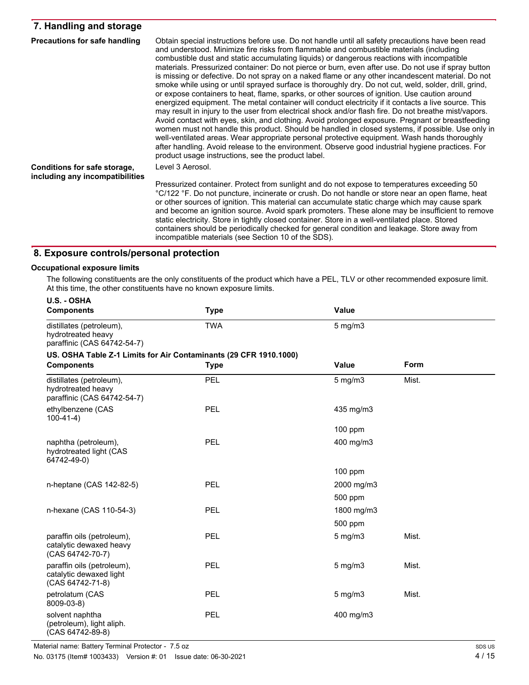### **7. Handling and storage**

| <b>Precautions for safe handling</b>                            | Obtain special instructions before use. Do not handle until all safety precautions have been read<br>and understood. Minimize fire risks from flammable and combustible materials (including<br>combustible dust and static accumulating liquids) or dangerous reactions with incompatible<br>materials. Pressurized container: Do not pierce or burn, even after use. Do not use if spray button<br>is missing or defective. Do not spray on a naked flame or any other incandescent material. Do not<br>smoke while using or until sprayed surface is thoroughly dry. Do not cut, weld, solder, drill, grind,<br>or expose containers to heat, flame, sparks, or other sources of ignition. Use caution around<br>energized equipment. The metal container will conduct electricity if it contacts a live source. This<br>may result in injury to the user from electrical shock and/or flash fire. Do not breathe mist/vapors.<br>Avoid contact with eyes, skin, and clothing. Avoid prolonged exposure. Pregnant or breastfeeding<br>women must not handle this product. Should be handled in closed systems, if possible. Use only in<br>well-ventilated areas. Wear appropriate personal protective equipment. Wash hands thoroughly<br>after handling. Avoid release to the environment. Observe good industrial hygiene practices. For<br>product usage instructions, see the product label. |
|-----------------------------------------------------------------|------------------------------------------------------------------------------------------------------------------------------------------------------------------------------------------------------------------------------------------------------------------------------------------------------------------------------------------------------------------------------------------------------------------------------------------------------------------------------------------------------------------------------------------------------------------------------------------------------------------------------------------------------------------------------------------------------------------------------------------------------------------------------------------------------------------------------------------------------------------------------------------------------------------------------------------------------------------------------------------------------------------------------------------------------------------------------------------------------------------------------------------------------------------------------------------------------------------------------------------------------------------------------------------------------------------------------------------------------------------------------------------------------|
| Conditions for safe storage,<br>including any incompatibilities | Level 3 Aerosol.                                                                                                                                                                                                                                                                                                                                                                                                                                                                                                                                                                                                                                                                                                                                                                                                                                                                                                                                                                                                                                                                                                                                                                                                                                                                                                                                                                                     |
|                                                                 | Pressurized container. Protect from sunlight and do not expose to temperatures exceeding 50<br>°C/122 °F. Do not puncture, incinerate or crush. Do not handle or store near an open flame, heat<br>or other sources of ignition. This material can accumulate static charge which may cause spark<br>and become an ignition source. Avoid spark promoters. These alone may be insufficient to remove<br>static electricity. Store in tightly closed container. Store in a well-ventilated place. Stored<br>containers should be periodically checked for general condition and leakage. Store away from<br>incompatible materials (see Section 10 of the SDS).                                                                                                                                                                                                                                                                                                                                                                                                                                                                                                                                                                                                                                                                                                                                       |

### **8. Exposure controls/personal protection**

#### **Occupational exposure limits**

The following constituents are the only constituents of the product which have a PEL, TLV or other recommended exposure limit. At this time, the other constituents have no known exposure limits.

| U.S. - OSHA                                                                   |             |              |             |  |
|-------------------------------------------------------------------------------|-------------|--------------|-------------|--|
| <b>Components</b>                                                             | <b>Type</b> | Value        |             |  |
| distillates (petroleum),<br>hydrotreated heavy<br>paraffinic (CAS 64742-54-7) | <b>TWA</b>  | $5$ mg/m $3$ |             |  |
| US. OSHA Table Z-1 Limits for Air Contaminants (29 CFR 1910.1000)             |             |              |             |  |
| <b>Components</b>                                                             | <b>Type</b> | <b>Value</b> | <b>Form</b> |  |
| distillates (petroleum),<br>hydrotreated heavy<br>paraffinic (CAS 64742-54-7) | PEL         | $5$ mg/m $3$ | Mist.       |  |
| ethylbenzene (CAS<br>$100-41-4)$                                              | PEL         | 435 mg/m3    |             |  |
|                                                                               |             | $100$ ppm    |             |  |
| naphtha (petroleum),<br>hydrotreated light (CAS<br>64742-49-0)                | PEL         | 400 mg/m3    |             |  |
|                                                                               |             | $100$ ppm    |             |  |
| n-heptane (CAS 142-82-5)                                                      | PEL         | 2000 mg/m3   |             |  |
|                                                                               |             | 500 ppm      |             |  |
| n-hexane (CAS 110-54-3)                                                       | PEL         | 1800 mg/m3   |             |  |
|                                                                               |             | 500 ppm      |             |  |
| paraffin oils (petroleum),<br>catalytic dewaxed heavy<br>(CAS 64742-70-7)     | <b>PEL</b>  | $5$ mg/m $3$ | Mist.       |  |
| paraffin oils (petroleum),<br>catalytic dewaxed light<br>(CAS 64742-71-8)     | PEL         | $5$ mg/m $3$ | Mist.       |  |
| petrolatum (CAS<br>8009-03-8)                                                 | PEL         | $5$ mg/m $3$ | Mist.       |  |
| solvent naphtha<br>(petroleum), light aliph.<br>(CAS 64742-89-8)              | PEL         | 400 mg/m3    |             |  |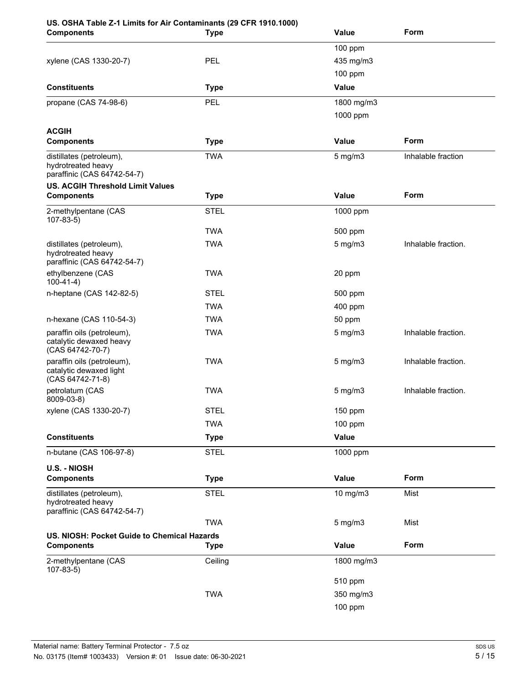# **US. OSHA Table Z-1 Limits for Air Contaminants (29 CFR 1910.1000)**

| <b>Components</b>                                                             | <b>Type</b> | Value        | Form                |
|-------------------------------------------------------------------------------|-------------|--------------|---------------------|
|                                                                               |             | 100 ppm      |                     |
| xylene (CAS 1330-20-7)                                                        | PEL         | 435 mg/m3    |                     |
|                                                                               |             | 100 ppm      |                     |
| <b>Constituents</b>                                                           | <b>Type</b> | Value        |                     |
| propane (CAS 74-98-6)                                                         | <b>PEL</b>  | 1800 mg/m3   |                     |
|                                                                               |             | 1000 ppm     |                     |
| <b>ACGIH</b>                                                                  |             |              |                     |
| <b>Components</b>                                                             | <b>Type</b> | Value        | Form                |
| distillates (petroleum),<br>hydrotreated heavy<br>paraffinic (CAS 64742-54-7) | <b>TWA</b>  | 5 mg/m3      | Inhalable fraction  |
| <b>US. ACGIH Threshold Limit Values</b>                                       |             |              |                     |
| <b>Components</b>                                                             | <b>Type</b> | Value        | Form                |
| 2-methylpentane (CAS<br>$107-83-5)$                                           | <b>STEL</b> | 1000 ppm     |                     |
|                                                                               | <b>TWA</b>  | 500 ppm      |                     |
| distillates (petroleum),<br>hydrotreated heavy<br>paraffinic (CAS 64742-54-7) | <b>TWA</b>  | $5$ mg/m $3$ | Inhalable fraction. |
| ethylbenzene (CAS<br>$100-41-4)$                                              | <b>TWA</b>  | 20 ppm       |                     |
| n-heptane (CAS 142-82-5)                                                      | <b>STEL</b> | 500 ppm      |                     |
|                                                                               | <b>TWA</b>  | 400 ppm      |                     |
| n-hexane (CAS 110-54-3)                                                       | <b>TWA</b>  | 50 ppm       |                     |
| paraffin oils (petroleum),<br>catalytic dewaxed heavy<br>(CAS 64742-70-7)     | <b>TWA</b>  | $5$ mg/m $3$ | Inhalable fraction. |
| paraffin oils (petroleum),<br>catalytic dewaxed light<br>(CAS 64742-71-8)     | <b>TWA</b>  | 5 mg/m3      | Inhalable fraction. |
| petrolatum (CAS<br>8009-03-8)                                                 | <b>TWA</b>  | $5$ mg/m $3$ | Inhalable fraction. |
| xylene (CAS 1330-20-7)                                                        | <b>STEL</b> | 150 ppm      |                     |
|                                                                               | <b>TWA</b>  | 100 ppm      |                     |
| <b>Constituents</b>                                                           | <b>Type</b> | Value        |                     |
| n-butane (CAS 106-97-8)                                                       | <b>STEL</b> | 1000 ppm     |                     |
| <b>U.S. - NIOSH</b>                                                           |             |              |                     |
| <b>Components</b>                                                             | <b>Type</b> | <b>Value</b> | Form                |
| distillates (petroleum),<br>hydrotreated heavy<br>paraffinic (CAS 64742-54-7) | <b>STEL</b> | 10 mg/m3     | Mist                |
|                                                                               | <b>TWA</b>  | $5$ mg/m $3$ | Mist                |
| US. NIOSH: Pocket Guide to Chemical Hazards                                   |             |              |                     |
| <b>Components</b>                                                             | <b>Type</b> | <b>Value</b> | Form                |
| 2-methylpentane (CAS<br>$107-83-5$                                            | Ceiling     | 1800 mg/m3   |                     |
|                                                                               |             | 510 ppm      |                     |
|                                                                               | <b>TWA</b>  | 350 mg/m3    |                     |
|                                                                               |             | 100 ppm      |                     |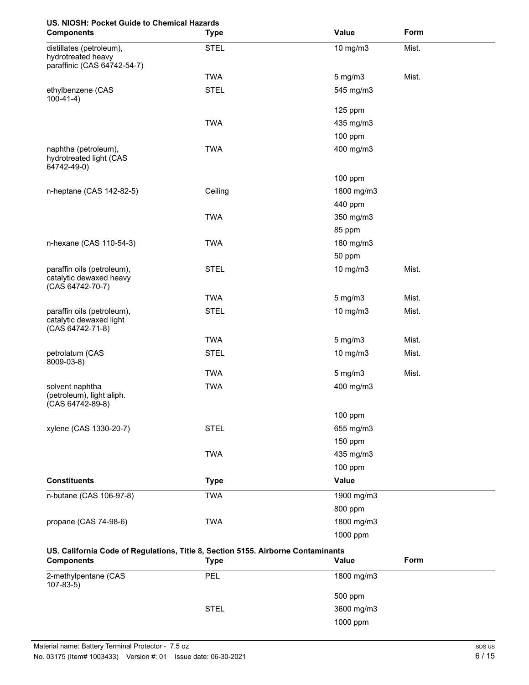# **US. NIOSH: Pocket Guide to Chemical Hazards**

| <b>Components</b>                                                                | <b>Type</b> | Value                 | Form  |
|----------------------------------------------------------------------------------|-------------|-----------------------|-------|
| distillates (petroleum),<br>hydrotreated heavy<br>paraffinic (CAS 64742-54-7)    | <b>STEL</b> | 10 mg/m3              | Mist. |
|                                                                                  | <b>TWA</b>  | 5 mg/m3               | Mist. |
| ethylbenzene (CAS<br>$100-41-4)$                                                 | <b>STEL</b> | 545 mg/m3             |       |
|                                                                                  |             | 125 ppm               |       |
|                                                                                  | <b>TWA</b>  | 435 mg/m3             |       |
|                                                                                  |             | 100 ppm               |       |
| naphtha (petroleum),<br>hydrotreated light (CAS<br>64742-49-0)                   | <b>TWA</b>  | 400 mg/m3             |       |
|                                                                                  |             | 100 ppm               |       |
| n-heptane (CAS 142-82-5)                                                         | Ceiling     | 1800 mg/m3<br>440 ppm |       |
|                                                                                  | <b>TWA</b>  | 350 mg/m3             |       |
|                                                                                  |             | 85 ppm                |       |
| n-hexane (CAS 110-54-3)                                                          | <b>TWA</b>  | 180 mg/m3             |       |
|                                                                                  |             | 50 ppm                |       |
| paraffin oils (petroleum),<br>catalytic dewaxed heavy<br>(CAS 64742-70-7)        | <b>STEL</b> | 10 mg/m3              | Mist. |
|                                                                                  | <b>TWA</b>  | $5$ mg/m $3$          | Mist. |
| paraffin oils (petroleum),<br>catalytic dewaxed light<br>(CAS 64742-71-8)        | <b>STEL</b> | 10 mg/m3              | Mist. |
|                                                                                  | <b>TWA</b>  | $5$ mg/m $3$          | Mist. |
| petrolatum (CAS<br>8009-03-8)                                                    | <b>STEL</b> | 10 mg/m3              | Mist. |
|                                                                                  | <b>TWA</b>  | $5$ mg/m $3$          | Mist. |
| solvent naphtha<br>(petroleum), light aliph.<br>(CAS 64742-89-8)                 | <b>TWA</b>  | 400 mg/m3             |       |
|                                                                                  |             | 100 ppm               |       |
| xylene (CAS 1330-20-7)                                                           | <b>STEL</b> | 655 mg/m3             |       |
|                                                                                  |             | 150 ppm               |       |
|                                                                                  | <b>TWA</b>  | 435 mg/m3             |       |
|                                                                                  |             | 100 ppm               |       |
| <b>Constituents</b>                                                              | <b>Type</b> | Value                 |       |
| n-butane (CAS 106-97-8)                                                          | <b>TWA</b>  | 1900 mg/m3            |       |
|                                                                                  |             | 800 ppm               |       |
| propane (CAS 74-98-6)                                                            | <b>TWA</b>  | 1800 mg/m3            |       |
|                                                                                  |             | 1000 ppm              |       |
| US. California Code of Regulations, Title 8, Section 5155. Airborne Contaminants |             |                       |       |

| <b>Components</b>                      | Type        | Form<br>Value |
|----------------------------------------|-------------|---------------|
| 2-methylpentane (CAS<br>$107 - 83 - 5$ | PEL         | 1800 mg/m3    |
|                                        |             | 500 ppm       |
|                                        | <b>STEL</b> | 3600 mg/m3    |
|                                        |             | 1000 ppm      |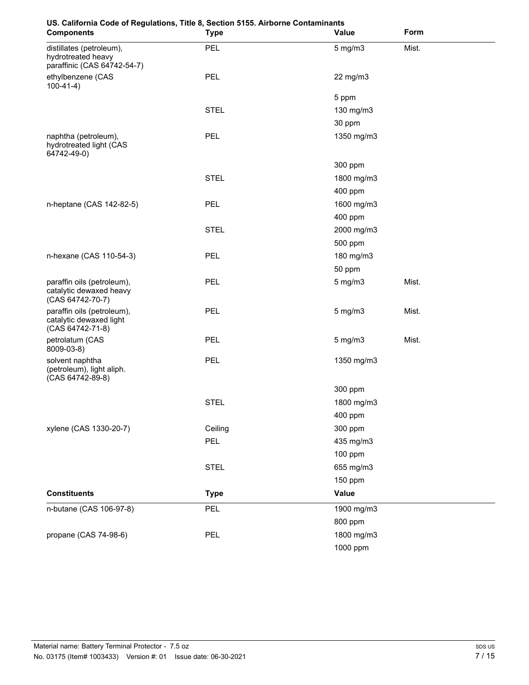| oo. Odinornia Oode or Regulations, Title 0, Oectr<br><b>Components</b>        | <b>SIL STOS: AILBOTTIE COTTLETING</b><br><b>Type</b> | Value        | Form  |
|-------------------------------------------------------------------------------|------------------------------------------------------|--------------|-------|
| distillates (petroleum),<br>hydrotreated heavy<br>paraffinic (CAS 64742-54-7) | PEL                                                  | $5$ mg/m $3$ | Mist. |
| ethylbenzene (CAS<br>$100-41-4)$                                              | <b>PEL</b>                                           | 22 mg/m3     |       |
|                                                                               |                                                      | 5 ppm        |       |
|                                                                               | <b>STEL</b>                                          | 130 mg/m3    |       |
|                                                                               |                                                      | 30 ppm       |       |
| naphtha (petroleum),<br>hydrotreated light (CAS<br>64742-49-0)                | <b>PEL</b>                                           | 1350 mg/m3   |       |
|                                                                               |                                                      | 300 ppm      |       |
|                                                                               | <b>STEL</b>                                          | 1800 mg/m3   |       |
|                                                                               |                                                      | 400 ppm      |       |
| n-heptane (CAS 142-82-5)                                                      | <b>PEL</b>                                           | 1600 mg/m3   |       |
|                                                                               |                                                      | 400 ppm      |       |
|                                                                               | <b>STEL</b>                                          | 2000 mg/m3   |       |
|                                                                               |                                                      | 500 ppm      |       |
| n-hexane (CAS 110-54-3)                                                       | <b>PEL</b>                                           | 180 mg/m3    |       |
|                                                                               |                                                      | 50 ppm       |       |
| paraffin oils (petroleum),<br>catalytic dewaxed heavy<br>(CAS 64742-70-7)     | <b>PEL</b>                                           | $5$ mg/m $3$ | Mist. |
| paraffin oils (petroleum),<br>catalytic dewaxed light<br>(CAS 64742-71-8)     | <b>PEL</b>                                           | $5$ mg/m $3$ | Mist. |
| petrolatum (CAS<br>8009-03-8)                                                 | <b>PEL</b>                                           | $5$ mg/m $3$ | Mist. |
| solvent naphtha<br>(petroleum), light aliph.<br>$(CAS 64742-89-8)$            | <b>PEL</b>                                           | 1350 mg/m3   |       |
|                                                                               |                                                      | 300 ppm      |       |
|                                                                               | <b>STEL</b>                                          | 1800 mg/m3   |       |
|                                                                               |                                                      | 400 ppm      |       |
| xylene (CAS 1330-20-7)                                                        | Ceiling                                              | 300 ppm      |       |
|                                                                               | <b>PEL</b>                                           | 435 mg/m3    |       |
|                                                                               |                                                      | 100 ppm      |       |
|                                                                               | <b>STEL</b>                                          | 655 mg/m3    |       |
|                                                                               |                                                      | 150 ppm      |       |
| <b>Constituents</b>                                                           | <b>Type</b>                                          | Value        |       |
| n-butane (CAS 106-97-8)                                                       | <b>PEL</b>                                           | 1900 mg/m3   |       |
|                                                                               |                                                      | 800 ppm      |       |
| propane (CAS 74-98-6)                                                         | PEL                                                  | 1800 mg/m3   |       |
|                                                                               |                                                      | 1000 ppm     |       |

# **US. California Code of Regulations, Title 8, Section 5155. Airborne Contaminants**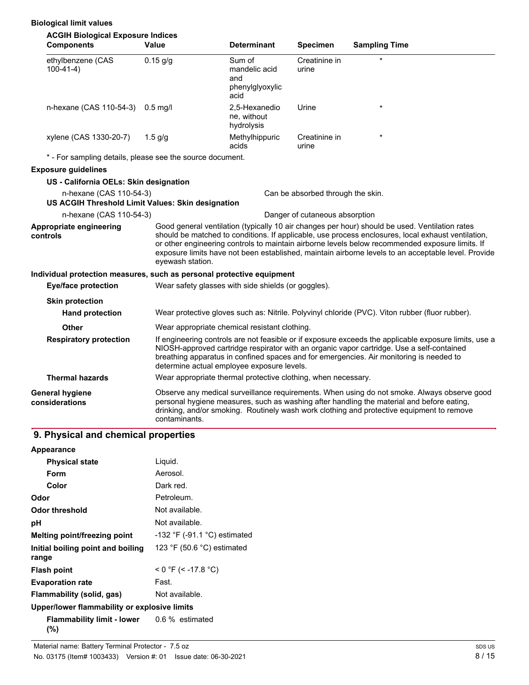#### **Biological limit values**

| <b>ACGIH Biological Exposure Indices</b>                                                                          |                                                                                                                                                                                                                                                                                                                                                                                                                                    |                                                           |                        |                                                                                                                                                                                                                                                                                       |
|-------------------------------------------------------------------------------------------------------------------|------------------------------------------------------------------------------------------------------------------------------------------------------------------------------------------------------------------------------------------------------------------------------------------------------------------------------------------------------------------------------------------------------------------------------------|-----------------------------------------------------------|------------------------|---------------------------------------------------------------------------------------------------------------------------------------------------------------------------------------------------------------------------------------------------------------------------------------|
| <b>Components</b>                                                                                                 | Value                                                                                                                                                                                                                                                                                                                                                                                                                              | <b>Determinant</b>                                        | <b>Specimen</b>        | <b>Sampling Time</b>                                                                                                                                                                                                                                                                  |
| ethylbenzene (CAS<br>$100-41-4)$                                                                                  | $0.15$ g/g                                                                                                                                                                                                                                                                                                                                                                                                                         | Sum of<br>mandelic acid<br>and<br>phenylglyoxylic<br>acid | Creatinine in<br>urine |                                                                                                                                                                                                                                                                                       |
| n-hexane (CAS 110-54-3)                                                                                           | $0.5$ mg/l                                                                                                                                                                                                                                                                                                                                                                                                                         | 2,5-Hexanedio<br>ne, without<br>hydrolysis                | Urine                  | $\star$                                                                                                                                                                                                                                                                               |
| xylene (CAS 1330-20-7)                                                                                            | $1.5$ g/g                                                                                                                                                                                                                                                                                                                                                                                                                          | Methylhippuric<br>acids                                   | Creatinine in<br>urine |                                                                                                                                                                                                                                                                                       |
| * - For sampling details, please see the source document.                                                         |                                                                                                                                                                                                                                                                                                                                                                                                                                    |                                                           |                        |                                                                                                                                                                                                                                                                                       |
| <b>Exposure guidelines</b>                                                                                        |                                                                                                                                                                                                                                                                                                                                                                                                                                    |                                                           |                        |                                                                                                                                                                                                                                                                                       |
| US - California OELs: Skin designation                                                                            |                                                                                                                                                                                                                                                                                                                                                                                                                                    |                                                           |                        |                                                                                                                                                                                                                                                                                       |
| n-hexane (CAS 110-54-3)<br>Can be absorbed through the skin.<br>US ACGIH Threshold Limit Values: Skin designation |                                                                                                                                                                                                                                                                                                                                                                                                                                    |                                                           |                        |                                                                                                                                                                                                                                                                                       |
| n-hexane (CAS 110-54-3)                                                                                           | Danger of cutaneous absorption                                                                                                                                                                                                                                                                                                                                                                                                     |                                                           |                        |                                                                                                                                                                                                                                                                                       |
| Appropriate engineering<br>controls                                                                               | Good general ventilation (typically 10 air changes per hour) should be used. Ventilation rates<br>should be matched to conditions. If applicable, use process enclosures, local exhaust ventilation,<br>or other engineering controls to maintain airborne levels below recommended exposure limits. If<br>exposure limits have not been established, maintain airborne levels to an acceptable level. Provide<br>eyewash station. |                                                           |                        |                                                                                                                                                                                                                                                                                       |
| Individual protection measures, such as personal protective equipment                                             |                                                                                                                                                                                                                                                                                                                                                                                                                                    |                                                           |                        |                                                                                                                                                                                                                                                                                       |
| <b>Eye/face protection</b>                                                                                        | Wear safety glasses with side shields (or goggles).                                                                                                                                                                                                                                                                                                                                                                                |                                                           |                        |                                                                                                                                                                                                                                                                                       |
| <b>Skin protection</b>                                                                                            |                                                                                                                                                                                                                                                                                                                                                                                                                                    |                                                           |                        |                                                                                                                                                                                                                                                                                       |
| <b>Hand protection</b>                                                                                            |                                                                                                                                                                                                                                                                                                                                                                                                                                    |                                                           |                        | Wear protective gloves such as: Nitrile. Polyvinyl chloride (PVC). Viton rubber (fluor rubber).                                                                                                                                                                                       |
| <b>Other</b>                                                                                                      |                                                                                                                                                                                                                                                                                                                                                                                                                                    | Wear appropriate chemical resistant clothing.             |                        |                                                                                                                                                                                                                                                                                       |
| <b>Respiratory protection</b>                                                                                     | If engineering controls are not feasible or if exposure exceeds the applicable exposure limits, use a<br>NIOSH-approved cartridge respirator with an organic vapor cartridge. Use a self-contained<br>breathing apparatus in confined spaces and for emergencies. Air monitoring is needed to<br>determine actual employee exposure levels.                                                                                        |                                                           |                        |                                                                                                                                                                                                                                                                                       |
| <b>Thermal hazards</b>                                                                                            | Wear appropriate thermal protective clothing, when necessary.                                                                                                                                                                                                                                                                                                                                                                      |                                                           |                        |                                                                                                                                                                                                                                                                                       |
| General hygiene<br>considerations                                                                                 | contaminants.                                                                                                                                                                                                                                                                                                                                                                                                                      |                                                           |                        | Observe any medical surveillance requirements. When using do not smoke. Always observe good<br>personal hygiene measures, such as washing after handling the material and before eating,<br>drinking, and/or smoking. Routinely wash work clothing and protective equipment to remove |

# **9. Physical and chemical properties**

| <b>Appearance</b>                            |                                |
|----------------------------------------------|--------------------------------|
| <b>Physical state</b>                        | Liquid.                        |
| Form                                         | Aerosol.                       |
| Color                                        | Dark red.                      |
| Odor                                         | Petroleum.                     |
| Odor threshold                               | Not available.                 |
| рH                                           | Not available.                 |
| Melting point/freezing point                 | $-132$ °F (-91.1 °C) estimated |
| Initial boiling point and boiling<br>range   | 123 °F (50.6 °C) estimated     |
| <b>Flash point</b>                           | $<$ 0 °F (< -17.8 °C)          |
| <b>Evaporation rate</b>                      | Fast.                          |
| Flammability (solid, gas)                    | Not available.                 |
| Upper/lower flammability or explosive limits |                                |
| Flammability limit - lower<br>(%)            | 0.6 % estimated                |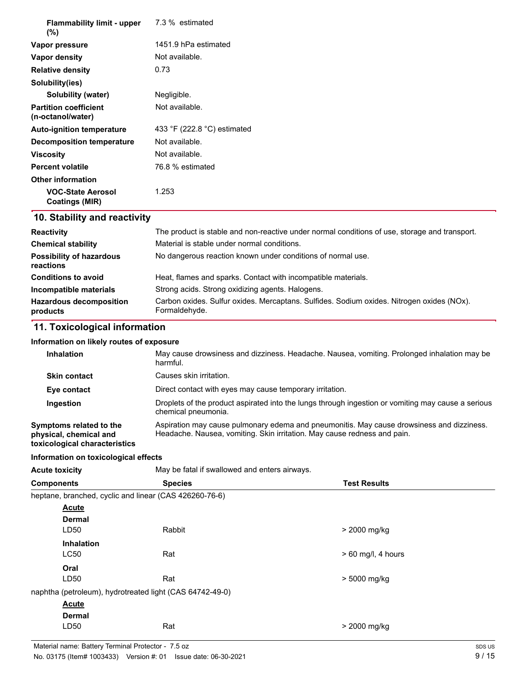| <b>Flammability limit - upper</b><br>$(\%)$                                                                                                                                                                                                                                                                              | 7.3 % estimated             |
|--------------------------------------------------------------------------------------------------------------------------------------------------------------------------------------------------------------------------------------------------------------------------------------------------------------------------|-----------------------------|
| Vapor pressure                                                                                                                                                                                                                                                                                                           | 1451.9 hPa estimated        |
| Vapor density                                                                                                                                                                                                                                                                                                            | Not available.              |
| <b>Relative density</b>                                                                                                                                                                                                                                                                                                  | 0.73                        |
| Solubility(ies)                                                                                                                                                                                                                                                                                                          |                             |
| Solubility (water)                                                                                                                                                                                                                                                                                                       | Negligible.                 |
| <b>Partition coefficient</b><br>(n-octanol/water)                                                                                                                                                                                                                                                                        | Not available.              |
| <b>Auto-ignition temperature</b>                                                                                                                                                                                                                                                                                         | 433 °F (222.8 °C) estimated |
| <b>Decomposition temperature</b>                                                                                                                                                                                                                                                                                         | Not available.              |
| <b>Viscosity</b>                                                                                                                                                                                                                                                                                                         | Not available.              |
| <b>Percent volatile</b>                                                                                                                                                                                                                                                                                                  | 76.8 % estimated            |
| <b>Other information</b>                                                                                                                                                                                                                                                                                                 |                             |
| <b>VOC-State Aerosol</b><br>Coatings (MIR)                                                                                                                                                                                                                                                                               | 1.253                       |
| $\overline{AB}$ $\overline{BA}$ and $\overline{BA}$ are also associated to $\overline{AB}$ and $\overline{AB}$ are associated to $\overline{AB}$ and $\overline{BA}$ are associated to $\overline{AB}$ and $\overline{BA}$ are all $\overline{AB}$ and $\overline{BA}$ are all $\overline{AB}$ and $\overline{BA}$ are a |                             |

#### **10. Stability and reactivity**

| <b>Reactivity</b>                            | The product is stable and non-reactive under normal conditions of use, storage and transport.              |
|----------------------------------------------|------------------------------------------------------------------------------------------------------------|
| <b>Chemical stability</b>                    | Material is stable under normal conditions.                                                                |
| <b>Possibility of hazardous</b><br>reactions | No dangerous reaction known under conditions of normal use.                                                |
| <b>Conditions to avoid</b>                   | Heat, flames and sparks. Contact with incompatible materials.                                              |
| Incompatible materials                       | Strong acids. Strong oxidizing agents. Halogens.                                                           |
| <b>Hazardous decomposition</b><br>products   | Carbon oxides. Sulfur oxides. Mercaptans. Sulfides. Sodium oxides. Nitrogen oxides (NOx).<br>Formaldehyde. |

# **11. Toxicological information**

#### **Information on likely routes of exposure**

| <b>Inhalation</b>                                                                  | May cause drowsiness and dizziness. Headache. Nausea, vomiting. Prolonged inhalation may be<br>harmful.                                                               |
|------------------------------------------------------------------------------------|-----------------------------------------------------------------------------------------------------------------------------------------------------------------------|
| <b>Skin contact</b>                                                                | Causes skin irritation.                                                                                                                                               |
| Eye contact                                                                        | Direct contact with eyes may cause temporary irritation.                                                                                                              |
| Ingestion                                                                          | Droplets of the product aspirated into the lungs through ingestion or vomiting may cause a serious<br>chemical pneumonia.                                             |
| Symptoms related to the<br>physical, chemical and<br>toxicological characteristics | Aspiration may cause pulmonary edema and pneumonitis. May cause drowsiness and dizziness.<br>Headache. Nausea, vomiting. Skin irritation. May cause redness and pain. |

#### **Information on toxicological effects**

Acute toxicity **May be fatal if swallowed and enters airways.** 

| <b>Components</b> |                                                          | <b>Species</b> | <b>Test Results</b>  |
|-------------------|----------------------------------------------------------|----------------|----------------------|
|                   | heptane, branched, cyclic and linear (CAS 426260-76-6)   |                |                      |
|                   | <b>Acute</b>                                             |                |                      |
|                   | <b>Dermal</b>                                            |                |                      |
|                   | LD <sub>50</sub>                                         | Rabbit         | > 2000 mg/kg         |
|                   | <b>Inhalation</b>                                        |                |                      |
|                   | <b>LC50</b>                                              | Rat            | $> 60$ mg/l, 4 hours |
|                   | Oral                                                     |                |                      |
|                   | LD50                                                     | Rat            | > 5000 mg/kg         |
|                   | naphtha (petroleum), hydrotreated light (CAS 64742-49-0) |                |                      |
|                   | <b>Acute</b>                                             |                |                      |
|                   | <b>Dermal</b>                                            |                |                      |
|                   | LD <sub>50</sub>                                         | Rat            | > 2000 mg/kg         |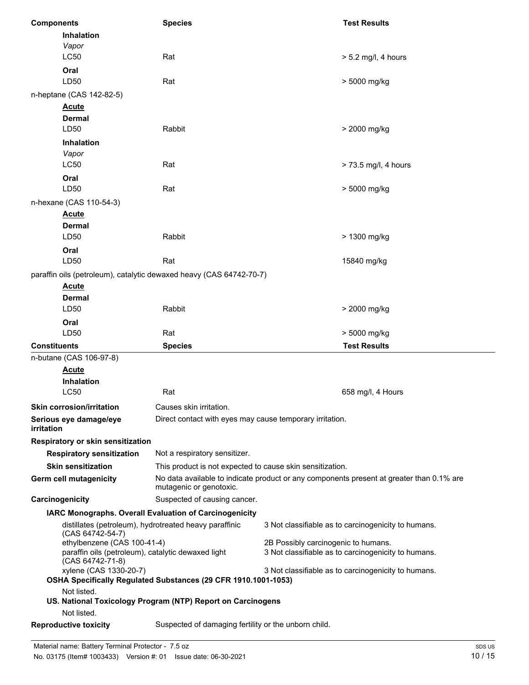| <b>Components</b>                                                                                                                 | <b>Species</b>                                                                                                                                   |  | <b>Test Results</b>   |
|-----------------------------------------------------------------------------------------------------------------------------------|--------------------------------------------------------------------------------------------------------------------------------------------------|--|-----------------------|
| Inhalation<br>Vapor                                                                                                               |                                                                                                                                                  |  |                       |
| <b>LC50</b>                                                                                                                       | Rat                                                                                                                                              |  | $> 5.2$ mg/l, 4 hours |
| Oral                                                                                                                              |                                                                                                                                                  |  |                       |
| LD50                                                                                                                              | Rat                                                                                                                                              |  | > 5000 mg/kg          |
| n-heptane (CAS 142-82-5)                                                                                                          |                                                                                                                                                  |  |                       |
| <b>Acute</b>                                                                                                                      |                                                                                                                                                  |  |                       |
| <b>Dermal</b>                                                                                                                     |                                                                                                                                                  |  |                       |
| LD50                                                                                                                              | Rabbit                                                                                                                                           |  | > 2000 mg/kg          |
| <b>Inhalation</b>                                                                                                                 |                                                                                                                                                  |  |                       |
| Vapor<br>LC50                                                                                                                     | Rat                                                                                                                                              |  | > 73.5 mg/l, 4 hours  |
| Oral                                                                                                                              |                                                                                                                                                  |  |                       |
| LD50                                                                                                                              | Rat                                                                                                                                              |  | > 5000 mg/kg          |
| n-hexane (CAS 110-54-3)                                                                                                           |                                                                                                                                                  |  |                       |
| <b>Acute</b>                                                                                                                      |                                                                                                                                                  |  |                       |
| <b>Dermal</b>                                                                                                                     |                                                                                                                                                  |  |                       |
| LD50                                                                                                                              | Rabbit                                                                                                                                           |  | > 1300 mg/kg          |
| Oral                                                                                                                              |                                                                                                                                                  |  |                       |
| LD50                                                                                                                              | Rat                                                                                                                                              |  | 15840 mg/kg           |
| paraffin oils (petroleum), catalytic dewaxed heavy (CAS 64742-70-7)                                                               |                                                                                                                                                  |  |                       |
| <b>Acute</b>                                                                                                                      |                                                                                                                                                  |  |                       |
| <b>Dermal</b><br>LD50                                                                                                             | Rabbit                                                                                                                                           |  | > 2000 mg/kg          |
| Oral                                                                                                                              |                                                                                                                                                  |  |                       |
| LD50                                                                                                                              | Rat                                                                                                                                              |  | > 5000 mg/kg          |
| <b>Constituents</b>                                                                                                               | <b>Species</b>                                                                                                                                   |  | <b>Test Results</b>   |
| n-butane (CAS 106-97-8)                                                                                                           |                                                                                                                                                  |  |                       |
| <b>Acute</b>                                                                                                                      |                                                                                                                                                  |  |                       |
| Inhalation                                                                                                                        |                                                                                                                                                  |  |                       |
| LC50                                                                                                                              | Rat                                                                                                                                              |  | 658 mg/l, 4 Hours     |
| <b>Skin corrosion/irritation</b>                                                                                                  | Causes skin irritation.                                                                                                                          |  |                       |
| Serious eye damage/eye<br>irritation                                                                                              | Direct contact with eyes may cause temporary irritation.                                                                                         |  |                       |
| Respiratory or skin sensitization                                                                                                 |                                                                                                                                                  |  |                       |
| <b>Respiratory sensitization</b>                                                                                                  | Not a respiratory sensitizer.                                                                                                                    |  |                       |
| <b>Skin sensitization</b>                                                                                                         | This product is not expected to cause skin sensitization.                                                                                        |  |                       |
| Germ cell mutagenicity                                                                                                            | No data available to indicate product or any components present at greater than 0.1% are<br>mutagenic or genotoxic.                              |  |                       |
| Carcinogenicity                                                                                                                   | Suspected of causing cancer.                                                                                                                     |  |                       |
| IARC Monographs. Overall Evaluation of Carcinogenicity                                                                            |                                                                                                                                                  |  |                       |
| distillates (petroleum), hydrotreated heavy paraffinic<br>3 Not classifiable as to carcinogenicity to humans.<br>(CAS 64742-54-7) |                                                                                                                                                  |  |                       |
| ethylbenzene (CAS 100-41-4)<br>(CAS 64742-71-8)                                                                                   | 2B Possibly carcinogenic to humans.<br>paraffin oils (petroleum), catalytic dewaxed light<br>3 Not classifiable as to carcinogenicity to humans. |  |                       |
| xylene (CAS 1330-20-7)                                                                                                            | 3 Not classifiable as to carcinogenicity to humans.<br>OSHA Specifically Regulated Substances (29 CFR 1910.1001-1053)                            |  |                       |
| Not listed.                                                                                                                       | US. National Toxicology Program (NTP) Report on Carcinogens                                                                                      |  |                       |
| Not listed.<br><b>Reproductive toxicity</b>                                                                                       | Suspected of damaging fertility or the unborn child.                                                                                             |  |                       |
|                                                                                                                                   |                                                                                                                                                  |  |                       |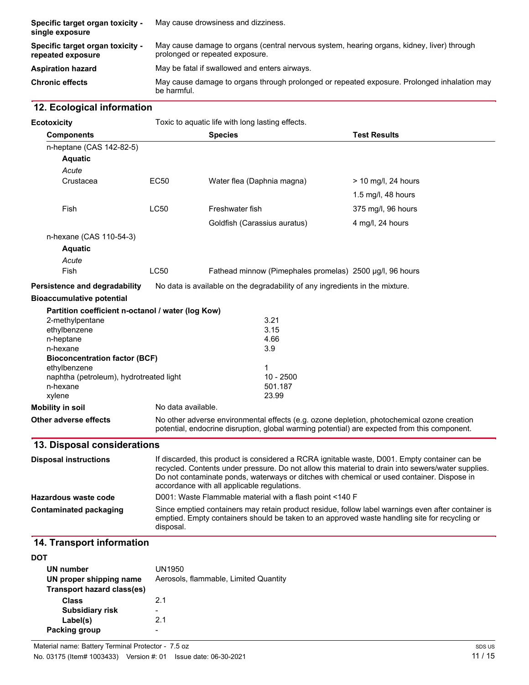| Specific target organ toxicity -<br>single exposure   | May cause drowsiness and dizziness.                                                                                           |
|-------------------------------------------------------|-------------------------------------------------------------------------------------------------------------------------------|
| Specific target organ toxicity -<br>repeated exposure | May cause damage to organs (central nervous system, hearing organs, kidney, liver) through<br>prolonged or repeated exposure. |
| <b>Aspiration hazard</b>                              | May be fatal if swallowed and enters airways.                                                                                 |
| <b>Chronic effects</b>                                | May cause damage to organs through prolonged or repeated exposure. Prolonged inhalation may<br>be harmful.                    |

# **12. Ecological information**

| <b>Ecotoxicity</b>                                | Toxic to aquatic life with long lasting effects. |                                                                                                                                                                                                                                                                                                                                                  |                       |
|---------------------------------------------------|--------------------------------------------------|--------------------------------------------------------------------------------------------------------------------------------------------------------------------------------------------------------------------------------------------------------------------------------------------------------------------------------------------------|-----------------------|
| <b>Components</b>                                 |                                                  | <b>Species</b>                                                                                                                                                                                                                                                                                                                                   | <b>Test Results</b>   |
| n-heptane (CAS 142-82-5)                          |                                                  |                                                                                                                                                                                                                                                                                                                                                  |                       |
| Aquatic                                           |                                                  |                                                                                                                                                                                                                                                                                                                                                  |                       |
| Acute                                             |                                                  |                                                                                                                                                                                                                                                                                                                                                  |                       |
| Crustacea                                         | <b>EC50</b>                                      | Water flea (Daphnia magna)                                                                                                                                                                                                                                                                                                                       | $>$ 10 mg/l, 24 hours |
|                                                   |                                                  |                                                                                                                                                                                                                                                                                                                                                  | 1.5 mg/l, $48$ hours  |
| Fish                                              | <b>LC50</b>                                      | Freshwater fish                                                                                                                                                                                                                                                                                                                                  | 375 mg/l, 96 hours    |
|                                                   |                                                  | Goldfish (Carassius auratus)                                                                                                                                                                                                                                                                                                                     | 4 mg/l, 24 hours      |
| n-hexane (CAS 110-54-3)                           |                                                  |                                                                                                                                                                                                                                                                                                                                                  |                       |
| <b>Aquatic</b>                                    |                                                  |                                                                                                                                                                                                                                                                                                                                                  |                       |
| Acute                                             |                                                  |                                                                                                                                                                                                                                                                                                                                                  |                       |
| Fish                                              | LC50                                             | Fathead minnow (Pimephales promelas) 2500 µg/l, 96 hours                                                                                                                                                                                                                                                                                         |                       |
| Persistence and degradability                     |                                                  | No data is available on the degradability of any ingredients in the mixture.                                                                                                                                                                                                                                                                     |                       |
| <b>Bioaccumulative potential</b>                  |                                                  |                                                                                                                                                                                                                                                                                                                                                  |                       |
| Partition coefficient n-octanol / water (log Kow) |                                                  |                                                                                                                                                                                                                                                                                                                                                  |                       |
| 2-methylpentane                                   |                                                  | 3.21                                                                                                                                                                                                                                                                                                                                             |                       |
| ethylbenzene                                      |                                                  | 3.15                                                                                                                                                                                                                                                                                                                                             |                       |
| n-heptane                                         |                                                  | 4.66<br>3.9                                                                                                                                                                                                                                                                                                                                      |                       |
| n-hexane<br><b>Bioconcentration factor (BCF)</b>  |                                                  |                                                                                                                                                                                                                                                                                                                                                  |                       |
| ethylbenzene                                      |                                                  | 1                                                                                                                                                                                                                                                                                                                                                |                       |
| naphtha (petroleum), hydrotreated light           |                                                  | $10 - 2500$                                                                                                                                                                                                                                                                                                                                      |                       |
| n-hexane                                          |                                                  | 501.187                                                                                                                                                                                                                                                                                                                                          |                       |
| xylene                                            |                                                  | 23.99                                                                                                                                                                                                                                                                                                                                            |                       |
| <b>Mobility in soil</b>                           | No data available.                               |                                                                                                                                                                                                                                                                                                                                                  |                       |
| <b>Other adverse effects</b>                      |                                                  | No other adverse environmental effects (e.g. ozone depletion, photochemical ozone creation<br>potential, endocrine disruption, global warming potential) are expected from this component.                                                                                                                                                       |                       |
| 13. Disposal considerations                       |                                                  |                                                                                                                                                                                                                                                                                                                                                  |                       |
| <b>Disposal instructions</b>                      |                                                  | If discarded, this product is considered a RCRA ignitable waste, D001. Empty container can be<br>recycled. Contents under pressure. Do not allow this material to drain into sewers/water supplies.<br>Do not contaminate ponds, waterways or ditches with chemical or used container. Dispose in<br>accordance with all applicable regulations. |                       |
| Hazardous waste code                              |                                                  | D001: Waste Flammable material with a flash point <140 F                                                                                                                                                                                                                                                                                         |                       |
| <b>Contaminated packaging</b>                     | disposal.                                        | Since emptied containers may retain product residue, follow label warnings even after container is<br>emptied. Empty containers should be taken to an approved waste handling site for recycling or                                                                                                                                              |                       |
| 1.1 Tranenort information                         |                                                  |                                                                                                                                                                                                                                                                                                                                                  |                       |

#### **14. Transport information**

| DOT                                                   |                                       |
|-------------------------------------------------------|---------------------------------------|
| UN number                                             | UN1950                                |
| UN proper shipping name<br>Transport hazard class(es) | Aerosols, flammable, Limited Quantity |
| <b>Class</b>                                          | 2.1                                   |
| <b>Subsidiary risk</b>                                |                                       |
| Label(s)                                              | 2.1                                   |
| Packing group                                         |                                       |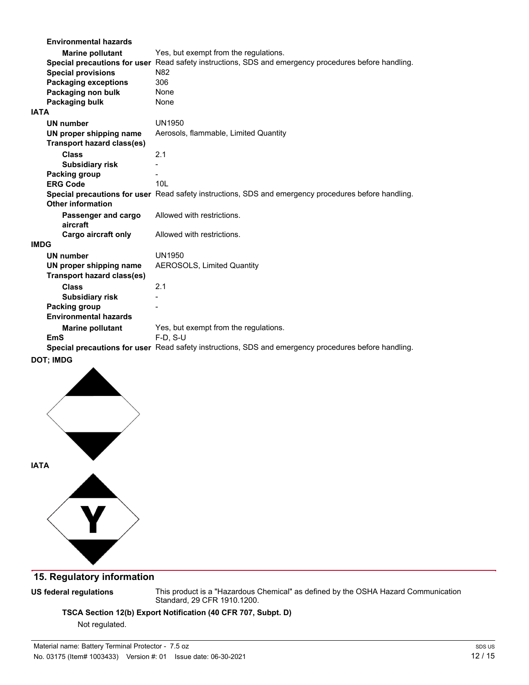|             | <b>Environmental hazards</b>      |                                                                                                      |
|-------------|-----------------------------------|------------------------------------------------------------------------------------------------------|
|             | <b>Marine pollutant</b>           | Yes, but exempt from the regulations.                                                                |
|             |                                   | Special precautions for user Read safety instructions, SDS and emergency procedures before handling. |
|             | <b>Special provisions</b>         | N82                                                                                                  |
|             | <b>Packaging exceptions</b>       | 306                                                                                                  |
|             | Packaging non bulk                | None                                                                                                 |
|             | Packaging bulk                    | None                                                                                                 |
| <b>ATAI</b> |                                   |                                                                                                      |
|             | <b>UN number</b>                  | UN1950                                                                                               |
|             | UN proper shipping name           | Aerosols, flammable, Limited Quantity                                                                |
|             | Transport hazard class(es)        |                                                                                                      |
|             | <b>Class</b>                      | 2.1                                                                                                  |
|             | <b>Subsidiary risk</b>            |                                                                                                      |
|             | Packing group                     |                                                                                                      |
|             | <b>ERG Code</b>                   | 101                                                                                                  |
|             |                                   | Special precautions for user Read safety instructions, SDS and emergency procedures before handling. |
|             | <b>Other information</b>          |                                                                                                      |
|             | Passenger and cargo               | Allowed with restrictions.                                                                           |
|             | aircraft                          |                                                                                                      |
|             | <b>Cargo aircraft only</b>        | Allowed with restrictions.                                                                           |
| IMDG        |                                   |                                                                                                      |
|             | <b>UN number</b>                  | UN1950                                                                                               |
|             | UN proper shipping name           | <b>AEROSOLS, Limited Quantity</b>                                                                    |
|             | <b>Transport hazard class(es)</b> |                                                                                                      |
|             | <b>Class</b>                      | 2.1                                                                                                  |
|             | <b>Subsidiary risk</b>            |                                                                                                      |
|             | Packing group                     |                                                                                                      |
|             | <b>Environmental hazards</b>      |                                                                                                      |
|             | <b>Marine pollutant</b>           | Yes, but exempt from the regulations.                                                                |
|             | <b>EmS</b>                        | $F-D$ , S-U                                                                                          |
|             |                                   | Special precautions for user Read safety instructions, SDS and emergency procedures before handling. |
|             |                                   |                                                                                                      |

#### **DOT; IMDG**



### **15. Regulatory information**

#### **US federal regulations**

This product is a "Hazardous Chemical" as defined by the OSHA Hazard Communication Standard, 29 CFR 1910.1200.

**TSCA Section 12(b) Export Notification (40 CFR 707, Subpt. D)**

Not regulated.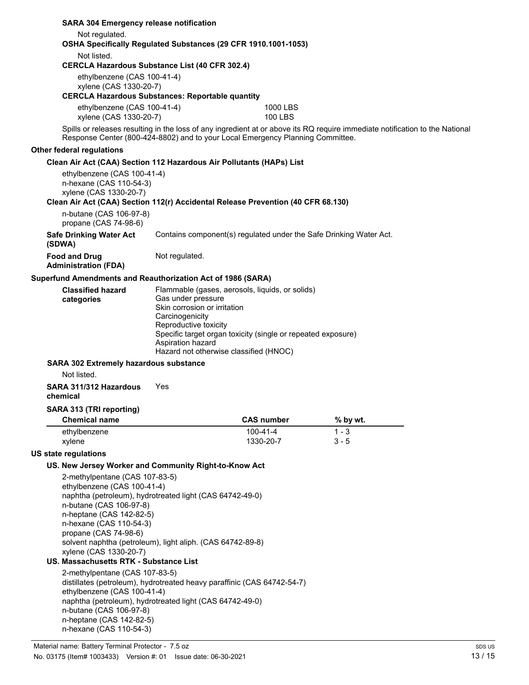|                                                                                                                                                                                                                                                                                                                            |                                                                                                                                                                                                                                                                                                                                                                                                                                                                                                                                                                                                                                                                                                | <b>SARA 304 Emergency release notification</b>                                                                                                                       |                                                                                                                                                                                                                |          |  |  |  |
|----------------------------------------------------------------------------------------------------------------------------------------------------------------------------------------------------------------------------------------------------------------------------------------------------------------------------|------------------------------------------------------------------------------------------------------------------------------------------------------------------------------------------------------------------------------------------------------------------------------------------------------------------------------------------------------------------------------------------------------------------------------------------------------------------------------------------------------------------------------------------------------------------------------------------------------------------------------------------------------------------------------------------------|----------------------------------------------------------------------------------------------------------------------------------------------------------------------|----------------------------------------------------------------------------------------------------------------------------------------------------------------------------------------------------------------|----------|--|--|--|
|                                                                                                                                                                                                                                                                                                                            | Not regulated.<br>OSHA Specifically Regulated Substances (29 CFR 1910.1001-1053)                                                                                                                                                                                                                                                                                                                                                                                                                                                                                                                                                                                                               |                                                                                                                                                                      |                                                                                                                                                                                                                |          |  |  |  |
| Not listed.<br><b>CERCLA Hazardous Substance List (40 CFR 302.4)</b>                                                                                                                                                                                                                                                       |                                                                                                                                                                                                                                                                                                                                                                                                                                                                                                                                                                                                                                                                                                |                                                                                                                                                                      |                                                                                                                                                                                                                |          |  |  |  |
|                                                                                                                                                                                                                                                                                                                            |                                                                                                                                                                                                                                                                                                                                                                                                                                                                                                                                                                                                                                                                                                | ethylbenzene (CAS 100-41-4)<br>xylene (CAS 1330-20-7)                                                                                                                |                                                                                                                                                                                                                |          |  |  |  |
|                                                                                                                                                                                                                                                                                                                            | <b>CERCLA Hazardous Substances: Reportable quantity</b>                                                                                                                                                                                                                                                                                                                                                                                                                                                                                                                                                                                                                                        |                                                                                                                                                                      |                                                                                                                                                                                                                |          |  |  |  |
|                                                                                                                                                                                                                                                                                                                            | ethylbenzene (CAS 100-41-4)<br>xylene (CAS 1330-20-7)                                                                                                                                                                                                                                                                                                                                                                                                                                                                                                                                                                                                                                          |                                                                                                                                                                      | 1000 LBS<br><b>100 LBS</b>                                                                                                                                                                                     |          |  |  |  |
|                                                                                                                                                                                                                                                                                                                            |                                                                                                                                                                                                                                                                                                                                                                                                                                                                                                                                                                                                                                                                                                |                                                                                                                                                                      | Spills or releases resulting in the loss of any ingredient at or above its RQ require immediate notification to the National<br>Response Center (800-424-8802) and to your Local Emergency Planning Committee. |          |  |  |  |
|                                                                                                                                                                                                                                                                                                                            | Other federal regulations                                                                                                                                                                                                                                                                                                                                                                                                                                                                                                                                                                                                                                                                      |                                                                                                                                                                      |                                                                                                                                                                                                                |          |  |  |  |
|                                                                                                                                                                                                                                                                                                                            |                                                                                                                                                                                                                                                                                                                                                                                                                                                                                                                                                                                                                                                                                                |                                                                                                                                                                      | Clean Air Act (CAA) Section 112 Hazardous Air Pollutants (HAPs) List                                                                                                                                           |          |  |  |  |
|                                                                                                                                                                                                                                                                                                                            |                                                                                                                                                                                                                                                                                                                                                                                                                                                                                                                                                                                                                                                                                                | ethylbenzene (CAS 100-41-4)<br>n-hexane (CAS 110-54-3)<br>xylene (CAS 1330-20-7)<br>Clean Air Act (CAA) Section 112(r) Accidental Release Prevention (40 CFR 68.130) |                                                                                                                                                                                                                |          |  |  |  |
|                                                                                                                                                                                                                                                                                                                            | n-butane (CAS 106-97-8)<br>propane (CAS 74-98-6)                                                                                                                                                                                                                                                                                                                                                                                                                                                                                                                                                                                                                                               |                                                                                                                                                                      |                                                                                                                                                                                                                |          |  |  |  |
|                                                                                                                                                                                                                                                                                                                            | <b>Safe Drinking Water Act</b><br>(SDWA)                                                                                                                                                                                                                                                                                                                                                                                                                                                                                                                                                                                                                                                       |                                                                                                                                                                      | Contains component(s) regulated under the Safe Drinking Water Act.                                                                                                                                             |          |  |  |  |
|                                                                                                                                                                                                                                                                                                                            | <b>Food and Drug</b><br><b>Administration (FDA)</b>                                                                                                                                                                                                                                                                                                                                                                                                                                                                                                                                                                                                                                            | Not regulated.                                                                                                                                                       |                                                                                                                                                                                                                |          |  |  |  |
|                                                                                                                                                                                                                                                                                                                            | Superfund Amendments and Reauthorization Act of 1986 (SARA)                                                                                                                                                                                                                                                                                                                                                                                                                                                                                                                                                                                                                                    |                                                                                                                                                                      |                                                                                                                                                                                                                |          |  |  |  |
| <b>Classified hazard</b><br>Flammable (gases, aerosols, liquids, or solids)<br>Gas under pressure<br>categories<br>Skin corrosion or irritation<br>Carcinogenicity<br>Reproductive toxicity<br>Specific target organ toxicity (single or repeated exposure)<br>Aspiration hazard<br>Hazard not otherwise classified (HNOC) |                                                                                                                                                                                                                                                                                                                                                                                                                                                                                                                                                                                                                                                                                                |                                                                                                                                                                      |                                                                                                                                                                                                                |          |  |  |  |
| <b>SARA 302 Extremely hazardous substance</b><br>Not listed.                                                                                                                                                                                                                                                               |                                                                                                                                                                                                                                                                                                                                                                                                                                                                                                                                                                                                                                                                                                |                                                                                                                                                                      |                                                                                                                                                                                                                |          |  |  |  |
|                                                                                                                                                                                                                                                                                                                            | SARA 311/312 Hazardous<br>chemical                                                                                                                                                                                                                                                                                                                                                                                                                                                                                                                                                                                                                                                             | Yes                                                                                                                                                                  |                                                                                                                                                                                                                |          |  |  |  |
|                                                                                                                                                                                                                                                                                                                            | SARA 313 (TRI reporting)                                                                                                                                                                                                                                                                                                                                                                                                                                                                                                                                                                                                                                                                       |                                                                                                                                                                      |                                                                                                                                                                                                                |          |  |  |  |
|                                                                                                                                                                                                                                                                                                                            | <b>Chemical name</b>                                                                                                                                                                                                                                                                                                                                                                                                                                                                                                                                                                                                                                                                           |                                                                                                                                                                      | <b>CAS number</b>                                                                                                                                                                                              | % by wt. |  |  |  |
|                                                                                                                                                                                                                                                                                                                            | ethylbenzene                                                                                                                                                                                                                                                                                                                                                                                                                                                                                                                                                                                                                                                                                   |                                                                                                                                                                      | $100 - 41 - 4$                                                                                                                                                                                                 | $1 - 3$  |  |  |  |
|                                                                                                                                                                                                                                                                                                                            | xylene                                                                                                                                                                                                                                                                                                                                                                                                                                                                                                                                                                                                                                                                                         |                                                                                                                                                                      | 1330-20-7                                                                                                                                                                                                      | $3 - 5$  |  |  |  |
|                                                                                                                                                                                                                                                                                                                            | US state regulations                                                                                                                                                                                                                                                                                                                                                                                                                                                                                                                                                                                                                                                                           |                                                                                                                                                                      |                                                                                                                                                                                                                |          |  |  |  |
|                                                                                                                                                                                                                                                                                                                            |                                                                                                                                                                                                                                                                                                                                                                                                                                                                                                                                                                                                                                                                                                |                                                                                                                                                                      |                                                                                                                                                                                                                |          |  |  |  |
|                                                                                                                                                                                                                                                                                                                            | US. New Jersey Worker and Community Right-to-Know Act<br>2-methylpentane (CAS 107-83-5)<br>ethylbenzene (CAS 100-41-4)<br>naphtha (petroleum), hydrotreated light (CAS 64742-49-0)<br>n-butane (CAS 106-97-8)<br>n-heptane (CAS 142-82-5)<br>n-hexane (CAS 110-54-3)<br>propane (CAS 74-98-6)<br>solvent naphtha (petroleum), light aliph. (CAS 64742-89-8)<br>xylene (CAS 1330-20-7)<br>US. Massachusetts RTK - Substance List<br>2-methylpentane (CAS 107-83-5)<br>distillates (petroleum), hydrotreated heavy paraffinic (CAS 64742-54-7)<br>ethylbenzene (CAS 100-41-4)<br>naphtha (petroleum), hydrotreated light (CAS 64742-49-0)<br>n-butane (CAS 106-97-8)<br>n-heptane (CAS 142-82-5) |                                                                                                                                                                      |                                                                                                                                                                                                                |          |  |  |  |
|                                                                                                                                                                                                                                                                                                                            | n-hexane (CAS 110-54-3)                                                                                                                                                                                                                                                                                                                                                                                                                                                                                                                                                                                                                                                                        |                                                                                                                                                                      |                                                                                                                                                                                                                |          |  |  |  |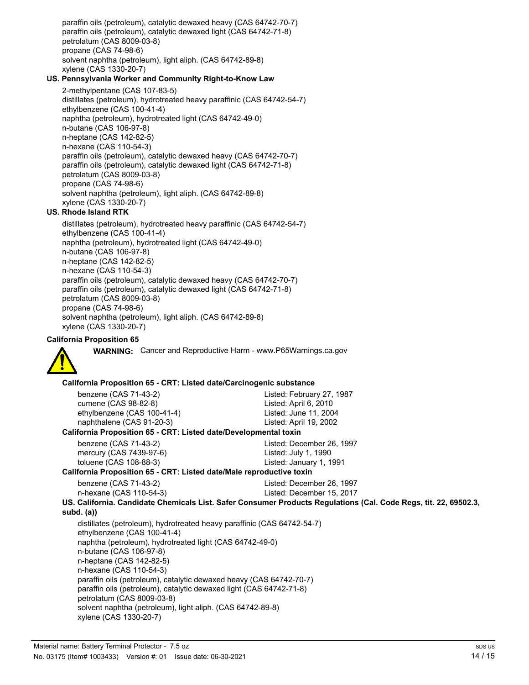paraffin oils (petroleum), catalytic dewaxed heavy (CAS 64742-70-7) paraffin oils (petroleum), catalytic dewaxed light (CAS 64742-71-8) petrolatum (CAS 8009-03-8) propane (CAS 74-98-6) solvent naphtha (petroleum), light aliph. (CAS 64742-89-8) xylene (CAS 1330-20-7)

#### **US. Pennsylvania Worker and Community Right-to-Know Law**

2-methylpentane (CAS 107-83-5) distillates (petroleum), hydrotreated heavy paraffinic (CAS 64742-54-7) ethylbenzene (CAS 100-41-4) naphtha (petroleum), hydrotreated light (CAS 64742-49-0) n-butane (CAS 106-97-8) n-heptane (CAS 142-82-5) n-hexane (CAS 110-54-3) paraffin oils (petroleum), catalytic dewaxed heavy (CAS 64742-70-7) paraffin oils (petroleum), catalytic dewaxed light (CAS 64742-71-8) petrolatum (CAS 8009-03-8) propane (CAS 74-98-6) solvent naphtha (petroleum), light aliph. (CAS 64742-89-8) xylene (CAS 1330-20-7)

#### **US. Rhode Island RTK**

distillates (petroleum), hydrotreated heavy paraffinic (CAS 64742-54-7) ethylbenzene (CAS 100-41-4) naphtha (petroleum), hydrotreated light (CAS 64742-49-0) n-butane (CAS 106-97-8) n-heptane (CAS 142-82-5) n-hexane (CAS 110-54-3) paraffin oils (petroleum), catalytic dewaxed heavy (CAS 64742-70-7) paraffin oils (petroleum), catalytic dewaxed light (CAS 64742-71-8) petrolatum (CAS 8009-03-8) propane (CAS 74-98-6) solvent naphtha (petroleum), light aliph. (CAS 64742-89-8) xylene (CAS 1330-20-7)

#### **California Proposition 65**



**WARNING:** Cancer and Reproductive Harm - www.P65Warnings.ca.gov

#### **California Proposition 65 - CRT: Listed date/Carcinogenic substance**

benzene (CAS 71-43-2) Listed: February 27, 1987 cumene (CAS 98-82-8) Listed: April 6, 2010 ethylbenzene (CAS 100-41-4) Listed: June 11, 2004 naphthalene (CAS 91-20-3) Listed: April 19, 2002

#### **California Proposition 65 - CRT: Listed date/Developmental toxin**

benzene (CAS 71-43-2) Listed: December 26, 1997 mercury (CAS 7439-97-6) Listed: July 1, 1990 toluene (CAS 108-88-3) Listed: January 1, 1991

#### **California Proposition 65 - CRT: Listed date/Male reproductive toxin**

| benzene (CAS 71-43-2)   |  |
|-------------------------|--|
| n-hexane (CAS 110-54-3) |  |

Listed: December 26, 1997 Listed: December 15, 2017

**US. California. Candidate Chemicals List. Safer Consumer Products Regulations (Cal. Code Regs, tit. 22, 69502.3, subd. (a))** distillates (petroleum), hydrotreated heavy paraffinic (CAS 64742-54-7) ethylbenzene (CAS 100-41-4) naphtha (petroleum), hydrotreated light (CAS 64742-49-0) n-butane (CAS 106-97-8)

n-heptane (CAS 142-82-5)

n-hexane (CAS 110-54-3)

paraffin oils (petroleum), catalytic dewaxed heavy (CAS 64742-70-7) paraffin oils (petroleum), catalytic dewaxed light (CAS 64742-71-8)

petrolatum (CAS 8009-03-8)

solvent naphtha (petroleum), light aliph. (CAS 64742-89-8) xylene (CAS 1330-20-7)